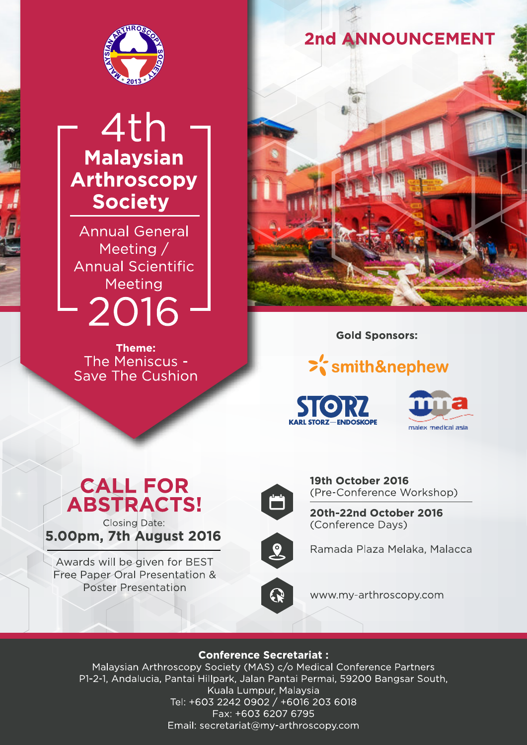

# 4th **Malaysian Arthroscopy Society**

**Annual General** Meeting / **Annual Scientific** Meeting 2016

**Theme:** The Meniscus -**Save The Cushion** 





**Gold Sponsors:** 

# >'smith&nephew



# **CALL FOR ABSTRACTS! Closing Date:**

5.00pm, 7th August 2016

Awards will be given for BEST Free Paper Oral Presentation & **Poster Presentation** 



19th October 2016 (Pre-Conference Workshop)

20th-22nd October 2016 (Conference Days)



Ramada Plaza Melaka, Malacca

www.my-arthroscopy.com

# **Conference Secretariat:**

Malaysian Arthroscopy Society (MAS) c/o Medical Conference Partners P1-2-1, Andalucia, Pantai Hillpark, Jalan Pantai Permai, 59200 Bangsar South, Kuala Lumpur, Malaysia Tel: +603 2242 0902 / +6016 203 6018 Fax: +603 6207 6795 Email: secretariat@my-arthroscopy.com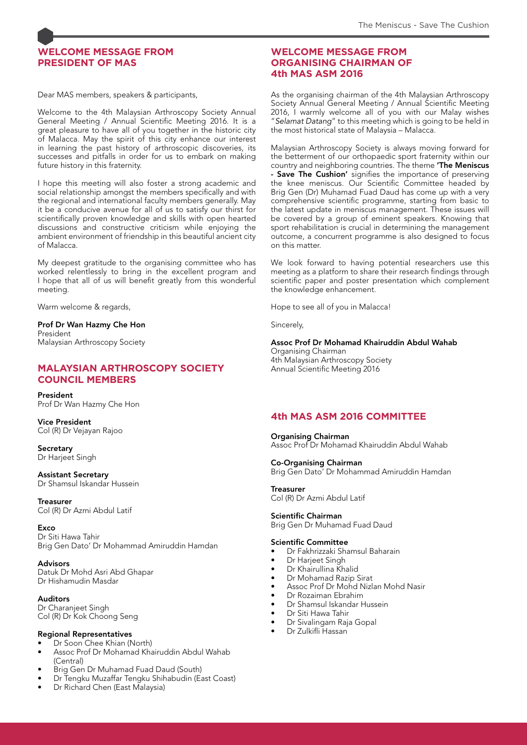# **WELCOME MESSAGE FROM PRESIDENT OF MAS**

Dear MAS members, speakers & participants,

Welcome to the 4th Malaysian Arthroscopy Society Annual General Meeting / Annual Scientific Meeting 2016. It is a great pleasure to have all of you together in the historic city of Malacca. May the spirit of this city enhance our interest in learning the past history of arthroscopic discoveries, its successes and pitfalls in order for us to embark on making future history in this fraternity.

I hope this meeting will also foster a strong academic and social relationship amongst the members specifically and with the regional and international faculty members generally. May it be a conducive avenue for all of us to satisfy our thirst for scientifically proven knowledge and skills with open hearted discussions and constructive criticism while enjoying the ambient environment of friendship in this beautiful ancient city of Malacca.

My deepest gratitude to the organising committee who has worked relentlessly to bring in the excellent program and I hope that all of us will benefit greatly from this wonderful meeting.

Warm welcome & regards,

Prof Dr Wan Hazmy Che Hon President Malaysian Arthroscopy Society

## **MALAYSIAN ARTHROSCOPY SOCIETY COUNCIL MEMBERS**

President Prof Dr Wan Hazmy Che Hon

Vice President Col (R) Dr Vejayan Rajoo

**Secretary** Dr Harjeet Singh

Assistant Secretary Dr Shamsul Iskandar Hussein

**Treasurer** Col (R) Dr Azmi Abdul Latif

**Exco** Dr Siti Hawa Tahir Brig Gen Dato' Dr Mohammad Amiruddin Hamdan

Advisors Datuk Dr Mohd Asri Abd Ghapar Dr Hishamudin Masdar

Auditors Dr Charanjeet Singh Col (R) Dr Kok Choong Seng

#### Regional Representatives

- Dr Soon Chee Khian (North)
- Assoc Prof Dr Mohamad Khairuddin Abdul Wahab (Central)
- Brig Gen Dr Muhamad Fuad Daud (South)
- Dr Tengku Muzaffar Tengku Shihabudin (East Coast)
- Dr Richard Chen (East Malaysia)

## **WELCOME MESSAGE FROM ORGANISING CHAIRMAN OF 4th MAS ASM 2016**

As the organising chairman of the 4th Malaysian Arthroscopy Society Annual General Meeting / Annual Scientific Meeting 2016, I warmly welcome all of you with our Malay wishes "Selamat Datang" to this meeting which is going to be held in the most historical state of Malaysia – Malacca.

Malaysian Arthroscopy Society is always moving forward for the betterment of our orthopaedic sport fraternity within our country and neighboring countries. The theme 'The Meniscus - Save The Cushion' signifies the importance of preserving the knee meniscus. Our Scientific Committee headed by Brig Gen (Dr) Muhamad Fuad Daud has come up with a very comprehensive scientific programme, starting from basic to the latest update in meniscus management. These issues will be covered by a group of eminent speakers. Knowing that sport rehabilitation is crucial in determining the management outcome, a concurrent programme is also designed to focus on this matter.

We look forward to having potential researchers use this meeting as a platform to share their research findings through scientific paper and poster presentation which complement the knowledge enhancement.

Hope to see all of you in Malacca!

Sincerely,

# Assoc Prof Dr Mohamad Khairuddin Abdul Wahab

Organising Chairman 4th Malaysian Arthroscopy Society Annual Scientific Meeting 2016

# **4th MAS ASM 2016 COMMITTEE**

Organising Chairman Assoc Prof Dr Mohamad Khairuddin Abdul Wahab

# Co-Organising Chairman

Brig Gen Dato' Dr Mohammad Amiruddin Hamdan

**Treasurer** Col (R) Dr Azmi Abdul Latif

Scientific Chairman

Brig Gen Dr Muhamad Fuad Daud

#### Scientific Committee

Dr Fakhrizzaki Shamsul Baharain

- Dr Harjeet Singh
- Dr Khairullina Khalid
- Dr Mohamad Razip Sirat
- Assoc Prof Dr Mohd Nizlan Mohd Nasir
- Dr Rozaiman Ebrahim
- Dr Shamsul Iskandar Hussein
- Dr Siti Hawa Tahir
- Dr Sivalingam Raja Gopal Dr Zulkifli Hassan
-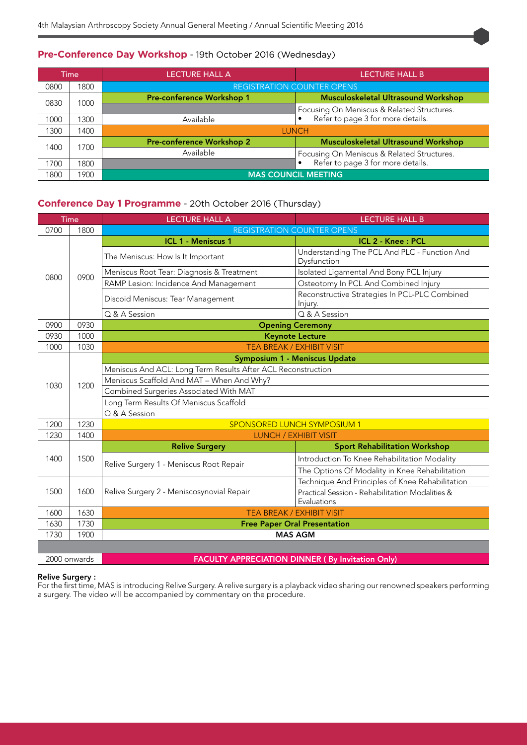## **Pre-Conference Day Workshop** - 19th October 2016 (Wednesday)

| Time |      | LECTURE HALL A                    | <b>LECTURE HALL B</b>                                                             |  |
|------|------|-----------------------------------|-----------------------------------------------------------------------------------|--|
| 0800 | 1800 | <b>REGISTRATION COUNTER OPENS</b> |                                                                                   |  |
| 0830 | 1000 | Pre-conference Workshop 1         | <b>Musculoskeletal Ultrasound Workshop</b>                                        |  |
|      |      |                                   | Focusing On Meniscus & Related Structures.<br>• Refer to page 3 for more details. |  |
| 1000 | 300  | Available                         |                                                                                   |  |
| 1300 | 1400 | <b>LUNCH</b>                      |                                                                                   |  |
| 1400 | 1700 | Pre-conference Workshop 2         | <b>Musculoskeletal Ultrasound Workshop</b>                                        |  |
|      |      | Available                         | Focusing On Meniscus & Related Structures.                                        |  |
| 1700 | 1800 |                                   | Refer to page 3 for more details.                                                 |  |
| 1800 | 1900 | <b>MAS COUNCIL MEETING</b>        |                                                                                   |  |

# **Conference Day 1 Programme** - 20th October 2016 (Thursday)

| Time         |      | <b>LECTURE HALL A</b>                                        | <b>LECTURE HALL B</b>                                          |  |
|--------------|------|--------------------------------------------------------------|----------------------------------------------------------------|--|
| 0700         | 1800 |                                                              | <b>REGISTRATION COUNTER OPENS</b>                              |  |
| 0800         | 0900 | <b>ICL 1 - Meniscus 1</b>                                    | ICL 2 - Knee: PCL                                              |  |
|              |      | The Meniscus: How Is It Important                            | Understanding The PCL And PLC - Function And<br>Dysfunction    |  |
|              |      | Meniscus Root Tear: Diagnosis & Treatment                    | Isolated Ligamental And Bony PCL Injury                        |  |
|              |      | RAMP Lesion: Incidence And Management                        | Osteotomy In PCL And Combined Injury                           |  |
|              |      | Discoid Meniscus: Tear Management                            | Reconstructive Strategies In PCL-PLC Combined<br>Injury.       |  |
|              |      | Q & A Session                                                | Q & A Session                                                  |  |
| 0900         | 0930 |                                                              | <b>Opening Ceremony</b>                                        |  |
| 0930         | 1000 | <b>Keynote Lecture</b>                                       |                                                                |  |
| 1000         | 1030 | TEA BREAK / EXHIBIT VISIT                                    |                                                                |  |
|              |      |                                                              | Symposium 1 - Meniscus Update                                  |  |
|              |      | Meniscus And ACL: Long Term Results After ACL Reconstruction |                                                                |  |
| 1030         | 1200 | Meniscus Scaffold And MAT - When And Why?                    |                                                                |  |
|              |      | Combined Surgeries Associated With MAT                       |                                                                |  |
|              |      | Long Term Results Of Meniscus Scaffold                       |                                                                |  |
|              |      | Q & A Session                                                |                                                                |  |
| 1200         | 1230 | <b>SPONSORED LUNCH SYMPOSIUM 1</b>                           |                                                                |  |
| 1230         | 1400 | <b>LUNCH / EXHIBIT VISIT</b>                                 |                                                                |  |
|              | 1500 | <b>Relive Surgery</b>                                        | <b>Sport Rehabilitation Workshop</b>                           |  |
| 1400         |      |                                                              | Introduction To Knee Rehabilitation Modality                   |  |
|              |      | Relive Surgery 1 - Meniscus Root Repair                      | The Options Of Modality in Knee Rehabilitation                 |  |
|              | 1600 |                                                              | Technique And Principles of Knee Rehabilitation                |  |
| 1500         |      | Relive Surgery 2 - Meniscosynovial Repair                    | Practical Session - Rehabilitation Modalities &<br>Evaluations |  |
| 1600         | 1630 | <b>TEA BREAK / EXHIBIT VISIT</b>                             |                                                                |  |
| 1630         | 1730 | <b>Free Paper Oral Presentation</b>                          |                                                                |  |
| 1730         | 1900 | <b>MAS AGM</b>                                               |                                                                |  |
|              |      |                                                              |                                                                |  |
| 2000 onwards |      |                                                              | <b>FACULTY APPRECIATION DINNER (By Invitation Only)</b>        |  |

#### Relive Surgery :

For the first time, MAS is introducing Relive Surgery. A relive surgery is a playback video sharing our renowned speakers performing a surgery. The video will be accompanied by commentary on the procedure.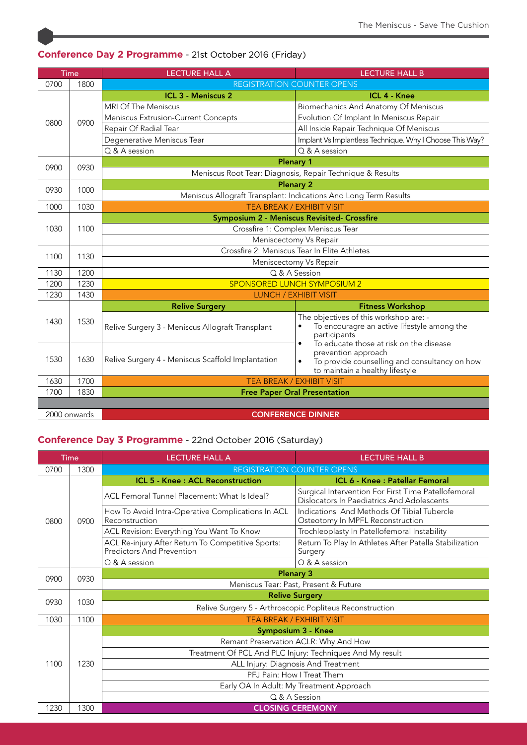| Time         |              | <b>LECTURE HALL A</b>                                            | <b>LECTURE HALL B</b>                                                                                                                                                        |  |
|--------------|--------------|------------------------------------------------------------------|------------------------------------------------------------------------------------------------------------------------------------------------------------------------------|--|
| 0700         | 1800         |                                                                  | <b>REGISTRATION COUNTER OPENS</b>                                                                                                                                            |  |
| 0800         |              | <b>ICL 3 - Meniscus 2</b>                                        | <b>ICL 4 - Knee</b>                                                                                                                                                          |  |
|              |              | MRI Of The Meniscus                                              | Biomechanics And Anatomy Of Meniscus                                                                                                                                         |  |
|              | 0900         | Meniscus Extrusion-Current Concepts                              | Evolution Of Implant In Meniscus Repair                                                                                                                                      |  |
|              |              | Repair Of Radial Tear                                            | All Inside Repair Technique Of Meniscus                                                                                                                                      |  |
|              |              | Degenerative Meniscus Tear                                       | Implant Vs Implantless Technique. Why I Choose This Way?                                                                                                                     |  |
|              |              | Q & A session                                                    | $Q$ & A session                                                                                                                                                              |  |
| 0900         | 0930         | <b>Plenary 1</b>                                                 |                                                                                                                                                                              |  |
|              |              | Meniscus Root Tear: Diagnosis, Repair Technique & Results        |                                                                                                                                                                              |  |
| 0930         | 1000         | <b>Plenary 2</b>                                                 |                                                                                                                                                                              |  |
|              |              | Meniscus Allograft Transplant: Indications And Long Term Results |                                                                                                                                                                              |  |
| 1000         | 1030         |                                                                  | TEA BREAK / EXHIBIT VISIT                                                                                                                                                    |  |
|              |              | Symposium 2 - Meniscus Revisited- Crossfire                      |                                                                                                                                                                              |  |
| 1030         | 1100         | Crossfire 1: Complex Meniscus Tear                               |                                                                                                                                                                              |  |
|              |              | Meniscectomy Vs Repair                                           |                                                                                                                                                                              |  |
| 1100         | 1130         | Crossfire 2: Meniscus Tear In Elite Athletes                     |                                                                                                                                                                              |  |
|              |              | Meniscectomy Vs Repair                                           |                                                                                                                                                                              |  |
| 1130         | 1200         | Q & A Session                                                    |                                                                                                                                                                              |  |
| 1200         | 1230         | <b>SPONSORED LUNCH SYMPOSIUM 2</b>                               |                                                                                                                                                                              |  |
| 1230         | 1430         | <b>LUNCH / EXHIBIT VISIT</b>                                     |                                                                                                                                                                              |  |
|              | 1530<br>1630 | <b>Relive Surgery</b>                                            | <b>Fitness Workshop</b>                                                                                                                                                      |  |
| 1430         |              | Relive Surgery 3 - Meniscus Allograft Transplant                 | The objectives of this workshop are: -<br>To encouragre an active lifestyle among the<br>participants                                                                        |  |
| 1530         |              | Relive Surgery 4 - Meniscus Scaffold Implantation                | To educate those at risk on the disease<br>$\bullet$<br>prevention approach<br>To provide counselling and consultancy on how<br>$\bullet$<br>to maintain a healthy lifestyle |  |
| 1630         | 1700         | <b>TEA BREAK / EXHIBIT VISIT</b>                                 |                                                                                                                                                                              |  |
| 1700         | 1830         | <b>Free Paper Oral Presentation</b>                              |                                                                                                                                                                              |  |
|              |              |                                                                  |                                                                                                                                                                              |  |
| 2000 onwards |              |                                                                  | <b>CONFERENCE DINNER</b>                                                                                                                                                     |  |

# **Conference Day 2 Programme** - 21st October 2016 (Friday)

# **Conference Day 3 Programme** - 22nd October 2016 (Saturday)

| Time                             |      | <b>LECTURE HALL A</b>                                                          | <b>LECTURE HALL B</b>                                                                             |  |
|----------------------------------|------|--------------------------------------------------------------------------------|---------------------------------------------------------------------------------------------------|--|
| 0700                             | 1300 | <b>REGISTRATION COUNTER OPENS</b>                                              |                                                                                                   |  |
| 0800                             | 0900 | <b>ICL 5 - Knee: ACL Reconstruction</b>                                        | ICL 6 - Knee : Patellar Femoral                                                                   |  |
|                                  |      | ACL Femoral Tunnel Placement: What Is Ideal?                                   | Surgical Intervention For First Time Patellofemoral<br>Dislocators In Paediatrics And Adolescents |  |
|                                  |      | How To Avoid Intra-Operative Complications In ACL<br>Reconstruction            | Indications And Methods Of Tibial Tubercle<br>Osteotomy In MPFL Reconstruction                    |  |
|                                  |      | ACL Revision: Everything You Want To Know                                      | Trochleoplasty In Patellofemoral Instability                                                      |  |
|                                  |      | ACL Re-injury After Return To Competitive Sports:<br>Predictors And Prevention | Return To Play In Athletes After Patella Stabilization<br>Surgery                                 |  |
|                                  |      | Q & A session                                                                  | Q & A session                                                                                     |  |
| <b>Plenary 3</b><br>0900<br>0930 |      |                                                                                |                                                                                                   |  |
|                                  |      | Meniscus Tear: Past, Present & Future                                          |                                                                                                   |  |
|                                  | 1030 | <b>Relive Surgery</b>                                                          |                                                                                                   |  |
| 0930                             |      | Relive Surgery 5 - Arthroscopic Popliteus Reconstruction                       |                                                                                                   |  |
| 1030                             | 1100 | <b>TEA BREAK / EXHIBIT VISIT</b>                                               |                                                                                                   |  |
| 1100                             | 1230 |                                                                                | <b>Symposium 3 - Knee</b>                                                                         |  |
|                                  |      | Remant Preservation ACLR: Why And How                                          |                                                                                                   |  |
|                                  |      | Treatment Of PCL And PLC Injury: Techniques And My result                      |                                                                                                   |  |
|                                  |      | ALL Injury: Diagnosis And Treatment                                            |                                                                                                   |  |
|                                  |      | PFJ Pain: How I Treat Them                                                     |                                                                                                   |  |
|                                  |      | Early OA In Adult: My Treatment Approach                                       |                                                                                                   |  |
|                                  |      |                                                                                | Q & A Session                                                                                     |  |
| 1230                             | 1300 | <b>CLOSING CEREMONY</b>                                                        |                                                                                                   |  |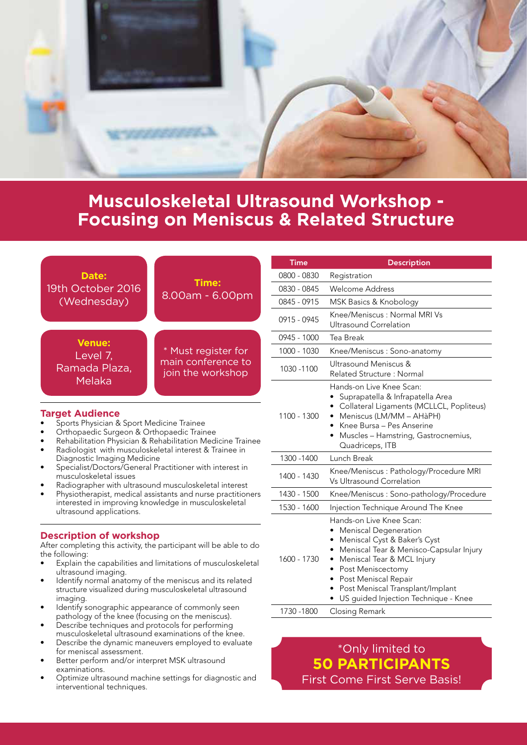

# **Musculoskeletal Ultrasound Workshop - Focusing on Meniscus & Related Structure**

|                                                                                                                                               |                                                                                                                        | <b>Time</b> | <b>Description</b>                                                                                                                                                                                                            |  |
|-----------------------------------------------------------------------------------------------------------------------------------------------|------------------------------------------------------------------------------------------------------------------------|-------------|-------------------------------------------------------------------------------------------------------------------------------------------------------------------------------------------------------------------------------|--|
| Date:                                                                                                                                         |                                                                                                                        | 0800 - 0830 | Registration                                                                                                                                                                                                                  |  |
| 19th October 2016                                                                                                                             | Time:<br>8.00am - 6.00pm                                                                                               | 0830 - 0845 | Welcome Address                                                                                                                                                                                                               |  |
| (Wednesday)                                                                                                                                   |                                                                                                                        | 0845 - 0915 | MSK Basics & Knobology                                                                                                                                                                                                        |  |
|                                                                                                                                               |                                                                                                                        | 0915 - 0945 | Knee/Meniscus: Normal MRI Vs<br><b>Ultrasound Correlation</b>                                                                                                                                                                 |  |
| <b>Venue:</b>                                                                                                                                 | * Must register for<br>main conference to<br>join the workshop                                                         | 0945 - 1000 | Tea Break                                                                                                                                                                                                                     |  |
| Level 7,                                                                                                                                      |                                                                                                                        | 1000 - 1030 | Knee/Meniscus: Sono-anatomy                                                                                                                                                                                                   |  |
| Ramada Plaza,<br>Melaka                                                                                                                       |                                                                                                                        | 1030 - 1100 | Ultrasound Meniscus &<br>Related Structure: Normal                                                                                                                                                                            |  |
| <b>Target Audience</b><br>Sports Physician & Sport Medicine Trainee<br>Orthopaedic Surgeon & Orthopaedic Trainee                              | Rehabilitation Physician & Rehabilitation Medicine Trainee<br>Radiologist with musculoskeletal interest & Trainee in   | 1100 - 1300 | Hands-on Live Knee Scan:<br>• Suprapatella & Infrapatella Area<br>Collateral Ligaments (MCLLCL, Popliteus)<br>Meniscus (LM/MM - AHàPH)<br>Knee Bursa - Pes Anserine<br>Muscles - Hamstring, Gastrocnemius,<br>Quadriceps, ITB |  |
| Diagnostic Imaging Medicine                                                                                                                   |                                                                                                                        | 1300 - 1400 | Lunch Break                                                                                                                                                                                                                   |  |
| musculoskeletal issues                                                                                                                        | Specialist/Doctors/General Practitioner with interest in<br>Radiographer with ultrasound musculoskeletal interest      | 1400 - 1430 | Knee/Meniscus: Pathology/Procedure MRI<br>Vs Ultrasound Correlation                                                                                                                                                           |  |
| ٠                                                                                                                                             | Physiotherapist, medical assistants and nurse practitioners                                                            | 1430 - 1500 | Knee/Meniscus: Sono-pathology/Procedure                                                                                                                                                                                       |  |
| ultrasound applications.                                                                                                                      | interested in improving knowledge in musculoskeletal                                                                   | 1530 - 1600 | Injection Technique Around The Knee                                                                                                                                                                                           |  |
| <b>Description of workshop</b><br>After completing this activity, the participant will be able to do<br>the following:<br>ultrasound imaging. | Explain the capabilities and limitations of musculoskeletal<br>Identify normal anatomy of the meniscus and its related | 1600 - 1730 | Hands-on Live Knee Scan:<br><b>Meniscal Degeneration</b><br>Meniscal Cyst & Baker's Cyst<br>Meniscal Tear & Menisco-Capsular Injury<br>Meniscal Tear & MCL Injury<br>$\bullet$<br>Post Meniscectomy<br>Post Meniscal Repair   |  |

- Identify normal anatomy of the meniscus and its related structure visualized during musculoskeletal ultrasound imaging.
- Identify sonographic appearance of commonly seen
- pathology of the knee (focusing on the meniscus). • Describe techniques and protocols for performing musculoskeletal ultrasound examinations of the knee.
- Describe the dynamic maneuvers employed to evaluate for meniscal assessment.
- Better perform and/or interpret MSK ultrasound examinations.
- Optimize ultrasound machine settings for diagnostic and interventional techniques.

# \*Only limited to **50 PARTICIPANTS**

1730 -1800 Closing Remark

• Post Meniscal Transplant/Implant • US guided Injection Technique - Knee

First Come First Serve Basis!